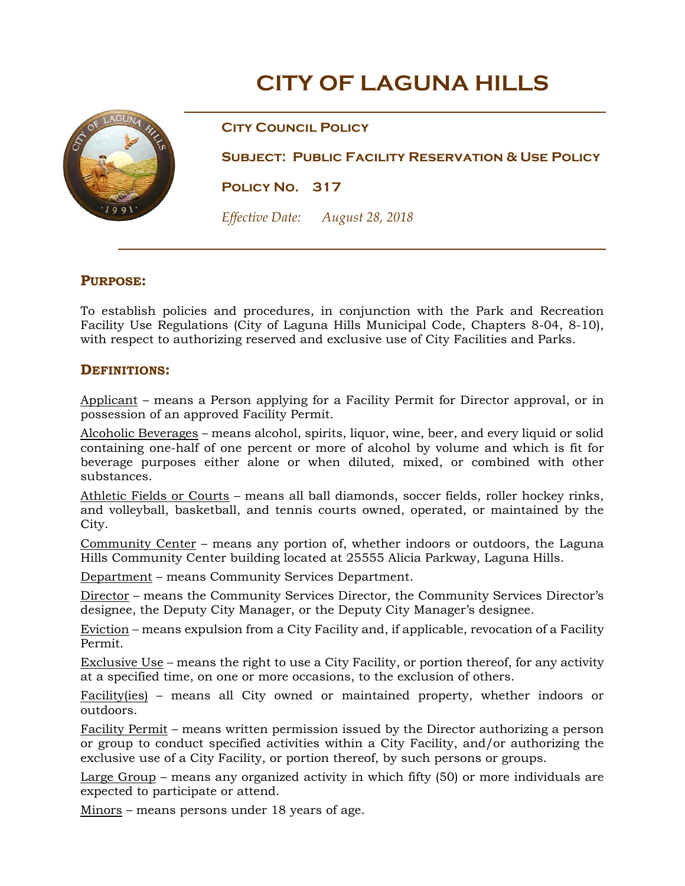# **CITY OF LAGUNA HILLS**



**City Council Policy** 

**Subject: Public Facility Reservation & Use Policy** 

**Policy No. 317** 

*Effective Date: August 28, 2018*

# **PURPOSE:**

To establish policies and procedures, in conjunction with the Park and Recreation Facility Use Regulations (City of Laguna Hills Municipal Code, Chapters 8-04, 8-10), with respect to authorizing reserved and exclusive use of City Facilities and Parks.

## **DEFINITIONS:**

Applicant – means a Person applying for a Facility Permit for Director approval, or in possession of an approved Facility Permit.

Alcoholic Beverages – means alcohol, spirits, liquor, wine, beer, and every liquid or solid containing one-half of one percent or more of alcohol by volume and which is fit for beverage purposes either alone or when diluted, mixed, or combined with other substances.

Athletic Fields or Courts – means all ball diamonds, soccer fields, roller hockey rinks, and volleyball, basketball, and tennis courts owned, operated, or maintained by the City.

Community Center – means any portion of, whether indoors or outdoors, the Laguna Hills Community Center building located at 25555 Alicia Parkway, Laguna Hills.

Department – means Community Services Department.

Director – means the Community Services Director, the Community Services Director's designee, the Deputy City Manager, or the Deputy City Manager's designee.

Eviction – means expulsion from a City Facility and, if applicable, revocation of a Facility Permit.

Exclusive Use – means the right to use a City Facility, or portion thereof, for any activity at a specified time, on one or more occasions, to the exclusion of others.

Facility(ies) – means all City owned or maintained property, whether indoors or outdoors.

Facility Permit – means written permission issued by the Director authorizing a person or group to conduct specified activities within a City Facility, and/or authorizing the exclusive use of a City Facility, or portion thereof, by such persons or groups.

Large Group – means any organized activity in which fifty (50) or more individuals are expected to participate or attend.

Minors – means persons under 18 years of age.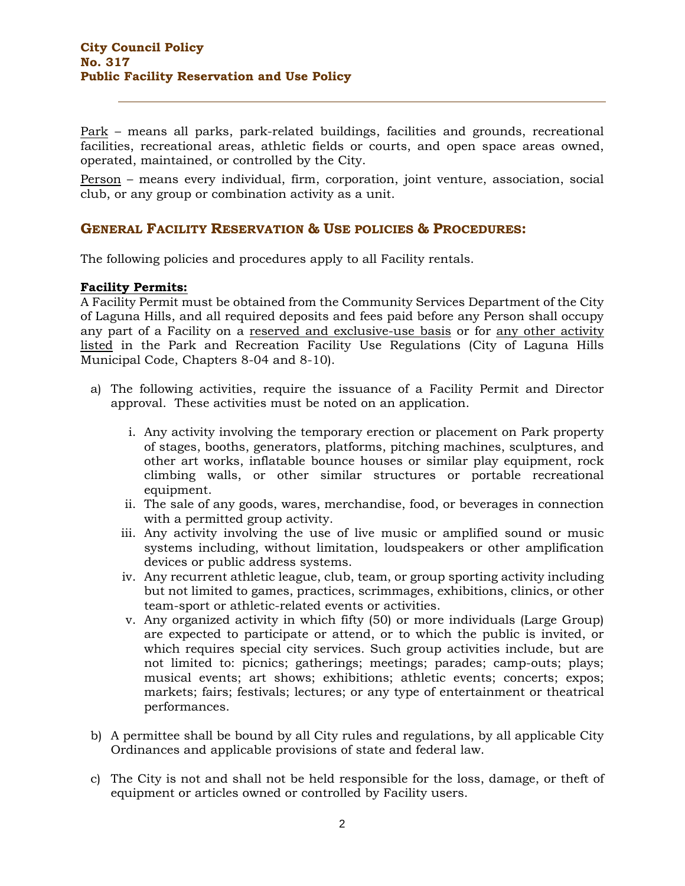Park – means all parks, park-related buildings, facilities and grounds, recreational facilities, recreational areas, athletic fields or courts, and open space areas owned, operated, maintained, or controlled by the City.

Person – means every individual, firm, corporation, joint venture, association, social club, or any group or combination activity as a unit.

# **GENERAL FACILITY RESERVATION & USE POLICIES & PROCEDURES:**

The following policies and procedures apply to all Facility rentals.

#### **Facility Permits:**

A Facility Permit must be obtained from the Community Services Department of the City of Laguna Hills, and all required deposits and fees paid before any Person shall occupy any part of a Facility on a reserved and exclusive-use basis or for any other activity listed in the Park and Recreation Facility Use Regulations (City of Laguna Hills Municipal Code, Chapters 8-04 and 8-10).

- a) The following activities, require the issuance of a Facility Permit and Director approval. These activities must be noted on an application.
	- i. Any activity involving the temporary erection or placement on Park property of stages, booths, generators, platforms, pitching machines, sculptures, and other art works, inflatable bounce houses or similar play equipment, rock climbing walls, or other similar structures or portable recreational equipment.
	- ii. The sale of any goods, wares, merchandise, food, or beverages in connection with a permitted group activity.
	- iii. Any activity involving the use of live music or amplified sound or music systems including, without limitation, loudspeakers or other amplification devices or public address systems.
	- iv. Any recurrent athletic league, club, team, or group sporting activity including but not limited to games, practices, scrimmages, exhibitions, clinics, or other team-sport or athletic-related events or activities.
	- v. Any organized activity in which fifty (50) or more individuals (Large Group) are expected to participate or attend, or to which the public is invited, or which requires special city services. Such group activities include, but are not limited to: picnics; gatherings; meetings; parades; camp-outs; plays; musical events; art shows; exhibitions; athletic events; concerts; expos; markets; fairs; festivals; lectures; or any type of entertainment or theatrical performances.
- b) A permittee shall be bound by all City rules and regulations, by all applicable City Ordinances and applicable provisions of state and federal law.
- c) The City is not and shall not be held responsible for the loss, damage, or theft of equipment or articles owned or controlled by Facility users.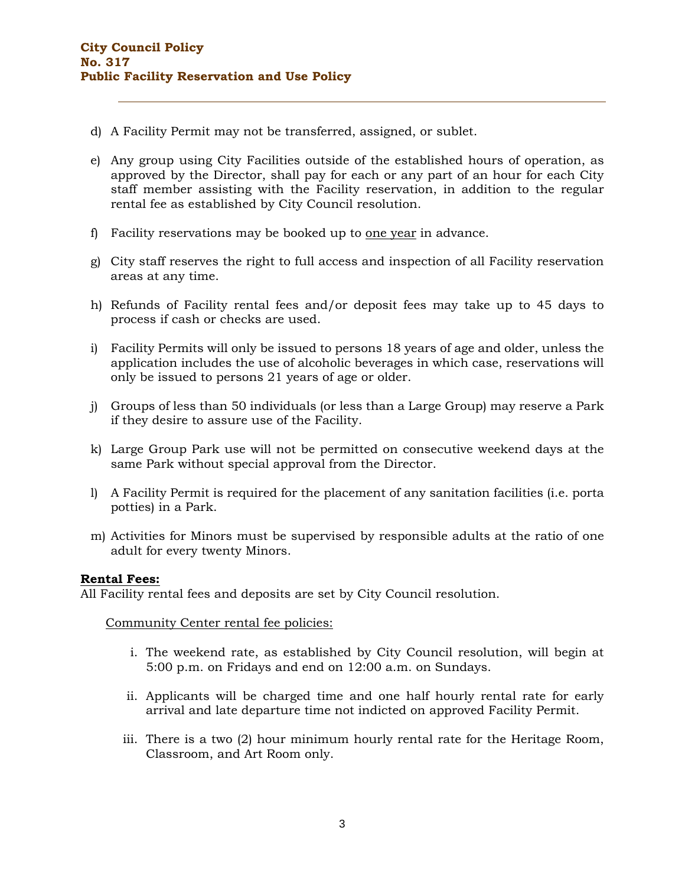- d) A Facility Permit may not be transferred, assigned, or sublet.
- e) Any group using City Facilities outside of the established hours of operation, as approved by the Director, shall pay for each or any part of an hour for each City staff member assisting with the Facility reservation, in addition to the regular rental fee as established by City Council resolution.
- f) Facility reservations may be booked up to one year in advance.
- g) City staff reserves the right to full access and inspection of all Facility reservation areas at any time.
- h) Refunds of Facility rental fees and/or deposit fees may take up to 45 days to process if cash or checks are used.
- i) Facility Permits will only be issued to persons 18 years of age and older, unless the application includes the use of alcoholic beverages in which case, reservations will only be issued to persons 21 years of age or older.
- j) Groups of less than 50 individuals (or less than a Large Group) may reserve a Park if they desire to assure use of the Facility.
- k) Large Group Park use will not be permitted on consecutive weekend days at the same Park without special approval from the Director.
- l) A Facility Permit is required for the placement of any sanitation facilities (i.e. porta potties) in a Park.
- m) Activities for Minors must be supervised by responsible adults at the ratio of one adult for every twenty Minors.

## **Rental Fees:**

All Facility rental fees and deposits are set by City Council resolution.

Community Center rental fee policies:

- i. The weekend rate, as established by City Council resolution, will begin at 5:00 p.m. on Fridays and end on 12:00 a.m. on Sundays.
- ii. Applicants will be charged time and one half hourly rental rate for early arrival and late departure time not indicted on approved Facility Permit.
- iii. There is a two (2) hour minimum hourly rental rate for the Heritage Room, Classroom, and Art Room only.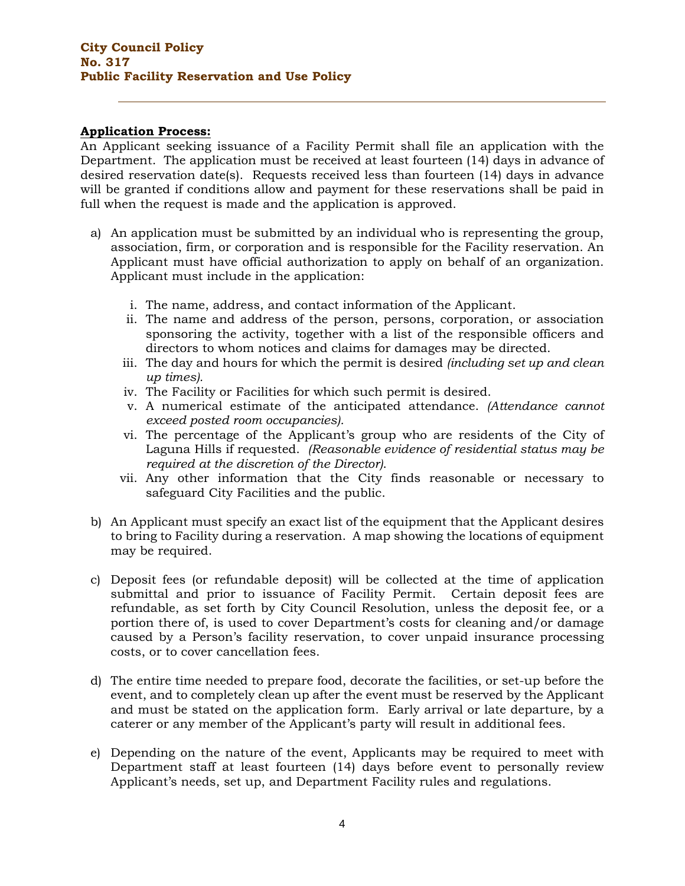## **Application Process:**

An Applicant seeking issuance of a Facility Permit shall file an application with the Department. The application must be received at least fourteen (14) days in advance of desired reservation date(s). Requests received less than fourteen (14) days in advance will be granted if conditions allow and payment for these reservations shall be paid in full when the request is made and the application is approved.

- a) An application must be submitted by an individual who is representing the group, association, firm, or corporation and is responsible for the Facility reservation. An Applicant must have official authorization to apply on behalf of an organization. Applicant must include in the application:
	- i. The name, address, and contact information of the Applicant.
	- ii. The name and address of the person, persons, corporation, or association sponsoring the activity, together with a list of the responsible officers and directors to whom notices and claims for damages may be directed.
	- iii. The day and hours for which the permit is desired *(including set up and clean up times).*
	- iv. The Facility or Facilities for which such permit is desired.
	- v. A numerical estimate of the anticipated attendance. *(Attendance cannot exceed posted room occupancies).*
	- vi. The percentage of the Applicant's group who are residents of the City of Laguna Hills if requested. *(Reasonable evidence of residential status may be required at the discretion of the Director)*.
	- vii. Any other information that the City finds reasonable or necessary to safeguard City Facilities and the public.
- b) An Applicant must specify an exact list of the equipment that the Applicant desires to bring to Facility during a reservation. A map showing the locations of equipment may be required.
- c) Deposit fees (or refundable deposit) will be collected at the time of application submittal and prior to issuance of Facility Permit. Certain deposit fees are refundable, as set forth by City Council Resolution, unless the deposit fee, or a portion there of, is used to cover Department's costs for cleaning and/or damage caused by a Person's facility reservation, to cover unpaid insurance processing costs, or to cover cancellation fees.
- d) The entire time needed to prepare food, decorate the facilities, or set-up before the event, and to completely clean up after the event must be reserved by the Applicant and must be stated on the application form. Early arrival or late departure, by a caterer or any member of the Applicant's party will result in additional fees.
- e) Depending on the nature of the event, Applicants may be required to meet with Department staff at least fourteen (14) days before event to personally review Applicant's needs, set up, and Department Facility rules and regulations.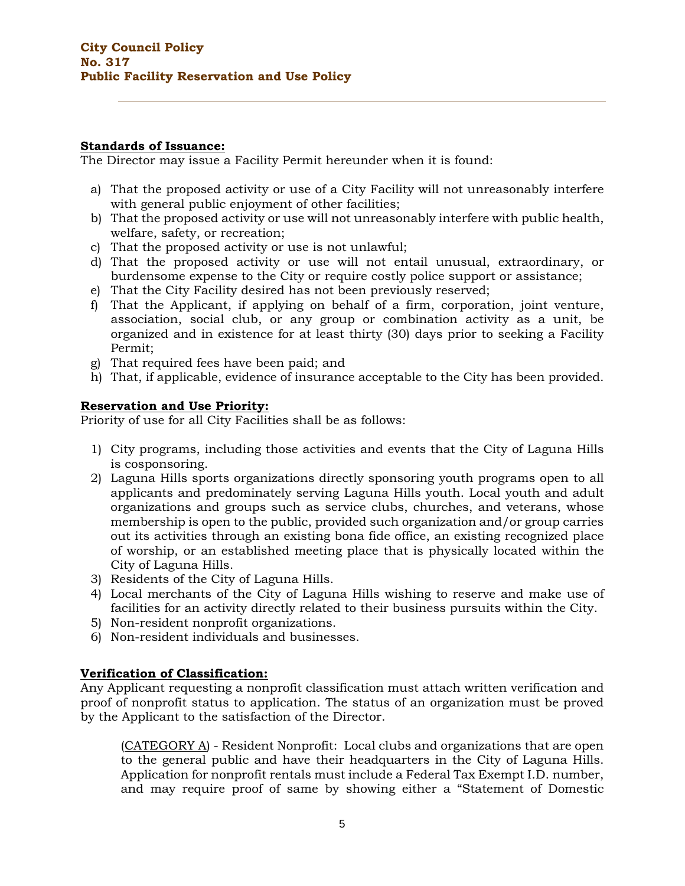## **Standards of Issuance:**

The Director may issue a Facility Permit hereunder when it is found:

- a) That the proposed activity or use of a City Facility will not unreasonably interfere with general public enjoyment of other facilities;
- b) That the proposed activity or use will not unreasonably interfere with public health, welfare, safety, or recreation;
- c) That the proposed activity or use is not unlawful;
- d) That the proposed activity or use will not entail unusual, extraordinary, or burdensome expense to the City or require costly police support or assistance;
- e) That the City Facility desired has not been previously reserved;
- f) That the Applicant, if applying on behalf of a firm, corporation, joint venture, association, social club, or any group or combination activity as a unit, be organized and in existence for at least thirty (30) days prior to seeking a Facility Permit;
- g) That required fees have been paid; and
- h) That, if applicable, evidence of insurance acceptable to the City has been provided.

## **Reservation and Use Priority:**

Priority of use for all City Facilities shall be as follows:

- 1) City programs, including those activities and events that the City of Laguna Hills is cosponsoring.
- 2) Laguna Hills sports organizations directly sponsoring youth programs open to all applicants and predominately serving Laguna Hills youth. Local youth and adult organizations and groups such as service clubs, churches, and veterans, whose membership is open to the public, provided such organization and/or group carries out its activities through an existing bona fide office, an existing recognized place of worship, or an established meeting place that is physically located within the City of Laguna Hills.
- 3) Residents of the City of Laguna Hills.
- 4) Local merchants of the City of Laguna Hills wishing to reserve and make use of facilities for an activity directly related to their business pursuits within the City.
- 5) Non-resident nonprofit organizations.
- 6) Non-resident individuals and businesses.

## **Verification of Classification:**

Any Applicant requesting a nonprofit classification must attach written verification and proof of nonprofit status to application. The status of an organization must be proved by the Applicant to the satisfaction of the Director.

(CATEGORY A) - Resident Nonprofit: Local clubs and organizations that are open to the general public and have their headquarters in the City of Laguna Hills. Application for nonprofit rentals must include a Federal Tax Exempt I.D. number, and may require proof of same by showing either a "Statement of Domestic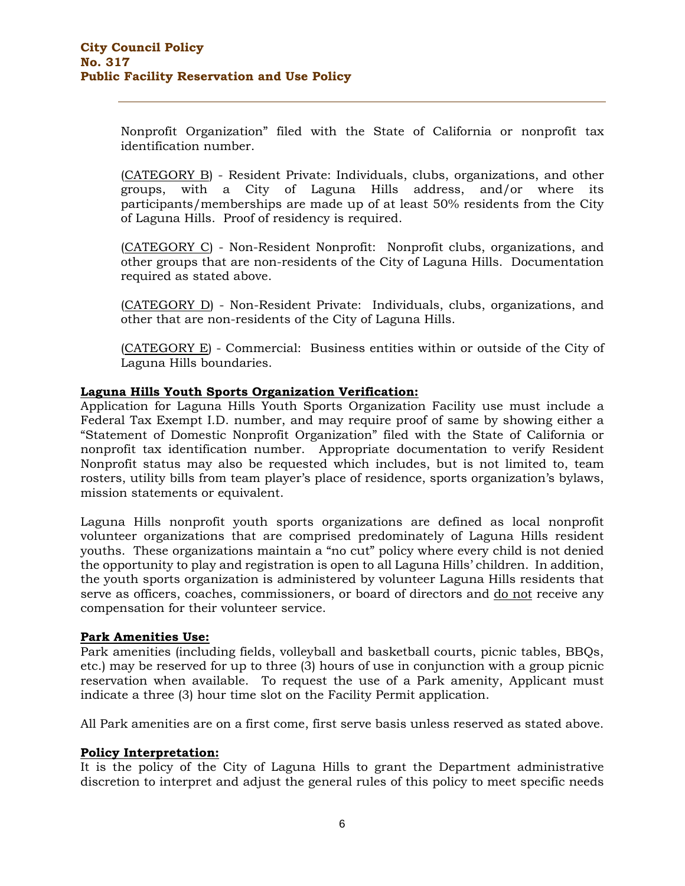Nonprofit Organization" filed with the State of California or nonprofit tax identification number.

(CATEGORY B) - Resident Private: Individuals, clubs, organizations, and other groups, with a City of Laguna Hills address, and/or where its participants/memberships are made up of at least 50% residents from the City of Laguna Hills. Proof of residency is required.

(CATEGORY C) - Non-Resident Nonprofit: Nonprofit clubs, organizations, and other groups that are non-residents of the City of Laguna Hills. Documentation required as stated above.

(CATEGORY D) - Non-Resident Private: Individuals, clubs, organizations, and other that are non-residents of the City of Laguna Hills.

(CATEGORY E) - Commercial: Business entities within or outside of the City of Laguna Hills boundaries.

## **Laguna Hills Youth Sports Organization Verification:**

Application for Laguna Hills Youth Sports Organization Facility use must include a Federal Tax Exempt I.D. number, and may require proof of same by showing either a "Statement of Domestic Nonprofit Organization" filed with the State of California or nonprofit tax identification number. Appropriate documentation to verify Resident Nonprofit status may also be requested which includes, but is not limited to, team rosters, utility bills from team player's place of residence, sports organization's bylaws, mission statements or equivalent.

Laguna Hills nonprofit youth sports organizations are defined as local nonprofit volunteer organizations that are comprised predominately of Laguna Hills resident youths. These organizations maintain a "no cut" policy where every child is not denied the opportunity to play and registration is open to all Laguna Hills' children. In addition, the youth sports organization is administered by volunteer Laguna Hills residents that serve as officers, coaches, commissioners, or board of directors and do not receive any compensation for their volunteer service.

## **Park Amenities Use:**

Park amenities (including fields, volleyball and basketball courts, picnic tables, BBQs, etc.) may be reserved for up to three (3) hours of use in conjunction with a group picnic reservation when available. To request the use of a Park amenity, Applicant must indicate a three (3) hour time slot on the Facility Permit application.

All Park amenities are on a first come, first serve basis unless reserved as stated above.

## **Policy Interpretation:**

It is the policy of the City of Laguna Hills to grant the Department administrative discretion to interpret and adjust the general rules of this policy to meet specific needs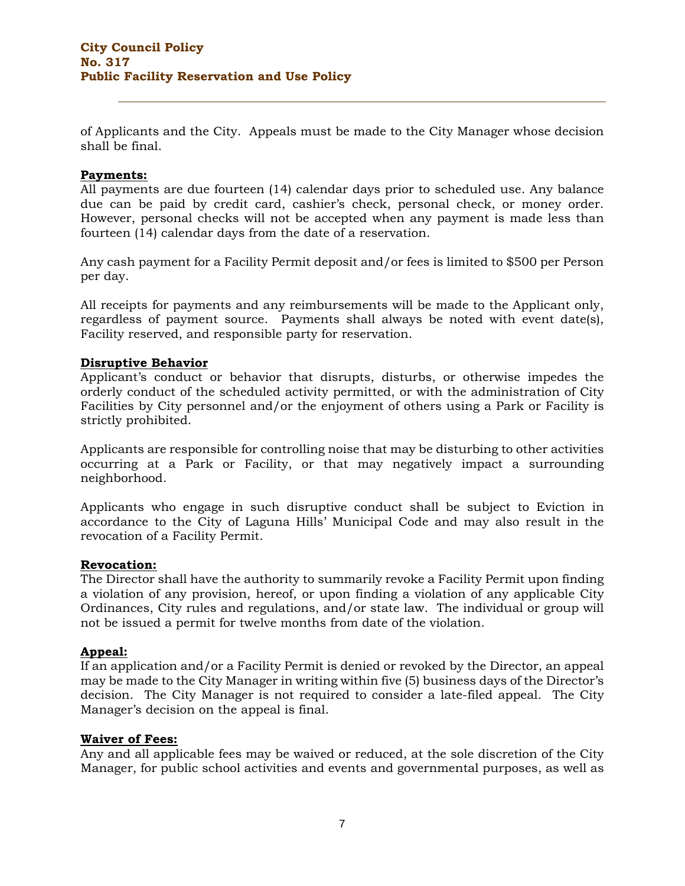of Applicants and the City. Appeals must be made to the City Manager whose decision shall be final.

## **Payments:**

All payments are due fourteen (14) calendar days prior to scheduled use. Any balance due can be paid by credit card, cashier's check, personal check, or money order. However, personal checks will not be accepted when any payment is made less than fourteen (14) calendar days from the date of a reservation.

Any cash payment for a Facility Permit deposit and/or fees is limited to \$500 per Person per day.

All receipts for payments and any reimbursements will be made to the Applicant only, regardless of payment source. Payments shall always be noted with event date(s), Facility reserved, and responsible party for reservation.

## **Disruptive Behavior**

Applicant's conduct or behavior that disrupts, disturbs, or otherwise impedes the orderly conduct of the scheduled activity permitted, or with the administration of City Facilities by City personnel and/or the enjoyment of others using a Park or Facility is strictly prohibited.

Applicants are responsible for controlling noise that may be disturbing to other activities occurring at a Park or Facility, or that may negatively impact a surrounding neighborhood.

Applicants who engage in such disruptive conduct shall be subject to Eviction in accordance to the City of Laguna Hills' Municipal Code and may also result in the revocation of a Facility Permit.

#### **Revocation:**

The Director shall have the authority to summarily revoke a Facility Permit upon finding a violation of any provision, hereof, or upon finding a violation of any applicable City Ordinances, City rules and regulations, and/or state law. The individual or group will not be issued a permit for twelve months from date of the violation.

## **Appeal:**

If an application and/or a Facility Permit is denied or revoked by the Director, an appeal may be made to the City Manager in writing within five (5) business days of the Director's decision. The City Manager is not required to consider a late-filed appeal. The City Manager's decision on the appeal is final.

#### **Waiver of Fees:**

Any and all applicable fees may be waived or reduced, at the sole discretion of the City Manager, for public school activities and events and governmental purposes, as well as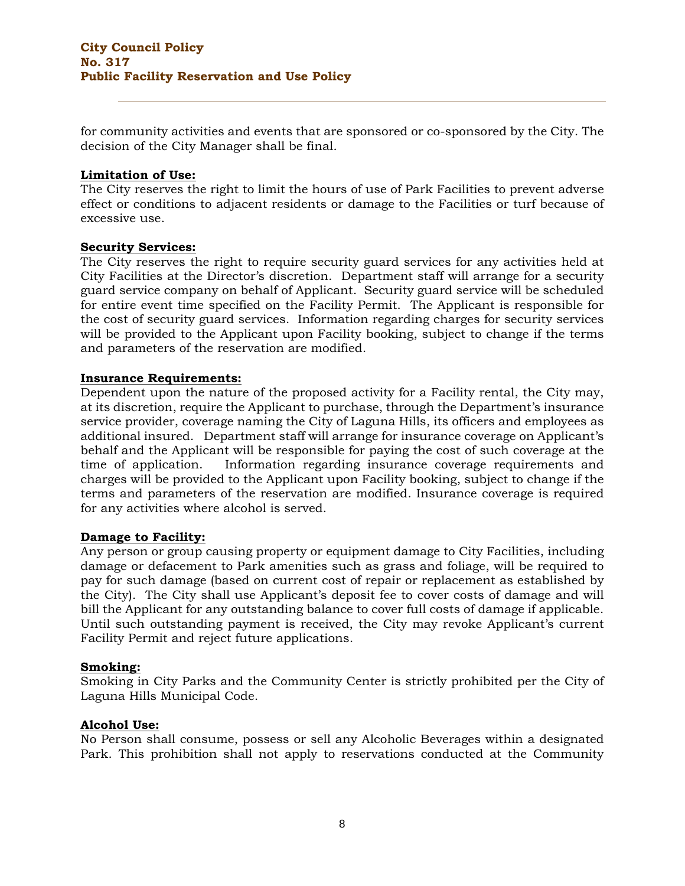for community activities and events that are sponsored or co-sponsored by the City. The decision of the City Manager shall be final.

## **Limitation of Use:**

The City reserves the right to limit the hours of use of Park Facilities to prevent adverse effect or conditions to adjacent residents or damage to the Facilities or turf because of excessive use.

#### **Security Services:**

The City reserves the right to require security guard services for any activities held at City Facilities at the Director's discretion. Department staff will arrange for a security guard service company on behalf of Applicant. Security guard service will be scheduled for entire event time specified on the Facility Permit. The Applicant is responsible for the cost of security guard services. Information regarding charges for security services will be provided to the Applicant upon Facility booking, subject to change if the terms and parameters of the reservation are modified.

#### **Insurance Requirements:**

Dependent upon the nature of the proposed activity for a Facility rental, the City may, at its discretion, require the Applicant to purchase, through the Department's insurance service provider, coverage naming the City of Laguna Hills, its officers and employees as additional insured. Department staff will arrange for insurance coverage on Applicant's behalf and the Applicant will be responsible for paying the cost of such coverage at the time of application. Information regarding insurance coverage requirements and charges will be provided to the Applicant upon Facility booking, subject to change if the terms and parameters of the reservation are modified. Insurance coverage is required for any activities where alcohol is served.

## **Damage to Facility:**

Any person or group causing property or equipment damage to City Facilities, including damage or defacement to Park amenities such as grass and foliage, will be required to pay for such damage (based on current cost of repair or replacement as established by the City). The City shall use Applicant's deposit fee to cover costs of damage and will bill the Applicant for any outstanding balance to cover full costs of damage if applicable. Until such outstanding payment is received, the City may revoke Applicant's current Facility Permit and reject future applications.

#### **Smoking:**

Smoking in City Parks and the Community Center is strictly prohibited per the City of Laguna Hills Municipal Code.

#### **Alcohol Use:**

No Person shall consume, possess or sell any Alcoholic Beverages within a designated Park. This prohibition shall not apply to reservations conducted at the Community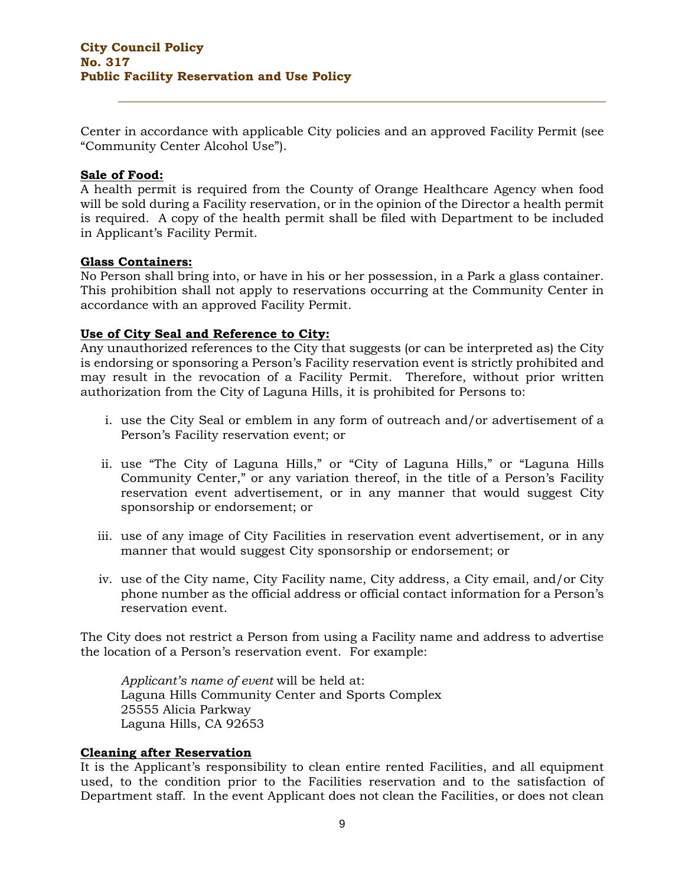Center in accordance with applicable City policies and an approved Facility Permit (see "Community Center Alcohol Use").

## **Sale of Food:**

A health permit is required from the County of Orange Healthcare Agency when food will be sold during a Facility reservation, or in the opinion of the Director a health permit is required. A copy of the health permit shall be filed with Department to be included in Applicant's Facility Permit.

#### **Glass Containers:**

No Person shall bring into, or have in his or her possession, in a Park a glass container. This prohibition shall not apply to reservations occurring at the Community Center in accordance with an approved Facility Permit.

## **Use of City Seal and Reference to City:**

Any unauthorized references to the City that suggests (or can be interpreted as) the City is endorsing or sponsoring a Person's Facility reservation event is strictly prohibited and may result in the revocation of a Facility Permit. Therefore, without prior written authorization from the City of Laguna Hills, it is prohibited for Persons to:

- i. use the City Seal or emblem in any form of outreach and/or advertisement of a Person's Facility reservation event; or
- ii. use "The City of Laguna Hills," or "City of Laguna Hills," or "Laguna Hills Community Center," or any variation thereof, in the title of a Person's Facility reservation event advertisement, or in any manner that would suggest City sponsorship or endorsement; or
- iii. use of any image of City Facilities in reservation event advertisement, or in any manner that would suggest City sponsorship or endorsement; or
- iv. use of the City name, City Facility name, City address, a City email, and/or City phone number as the official address or official contact information for a Person's reservation event.

The City does not restrict a Person from using a Facility name and address to advertise the location of a Person's reservation event. For example:

*Applicant's name of event* will be held at: Laguna Hills Community Center and Sports Complex 25555 Alicia Parkway Laguna Hills, CA 92653

## **Cleaning after Reservation**

It is the Applicant's responsibility to clean entire rented Facilities, and all equipment used, to the condition prior to the Facilities reservation and to the satisfaction of Department staff. In the event Applicant does not clean the Facilities, or does not clean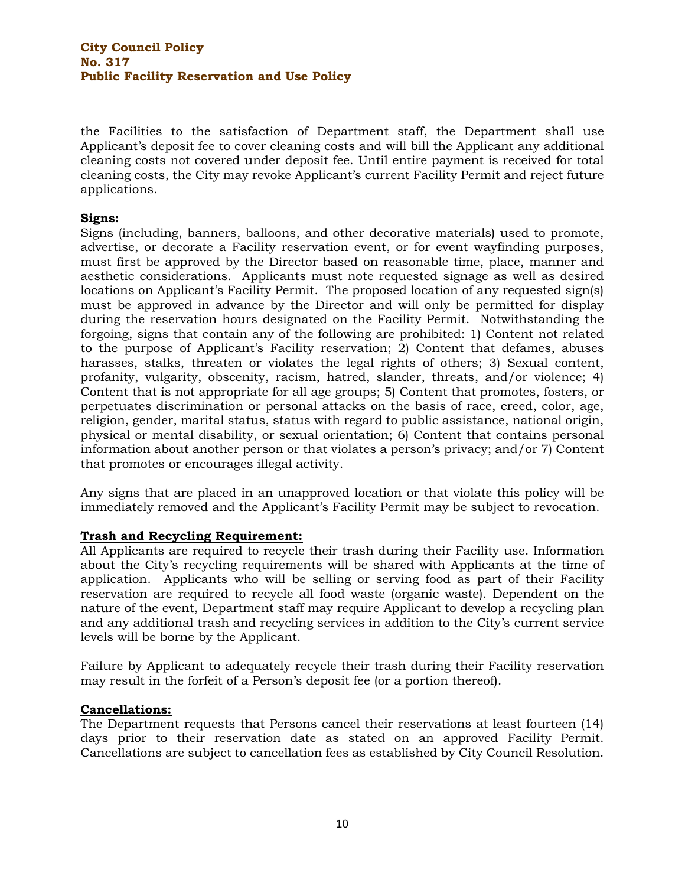the Facilities to the satisfaction of Department staff, the Department shall use Applicant's deposit fee to cover cleaning costs and will bill the Applicant any additional cleaning costs not covered under deposit fee. Until entire payment is received for total cleaning costs, the City may revoke Applicant's current Facility Permit and reject future applications.

## **Signs:**

Signs (including, banners, balloons, and other decorative materials) used to promote, advertise, or decorate a Facility reservation event, or for event wayfinding purposes, must first be approved by the Director based on reasonable time, place, manner and aesthetic considerations. Applicants must note requested signage as well as desired locations on Applicant's Facility Permit. The proposed location of any requested sign(s) must be approved in advance by the Director and will only be permitted for display during the reservation hours designated on the Facility Permit. Notwithstanding the forgoing, signs that contain any of the following are prohibited: 1) Content not related to the purpose of Applicant's Facility reservation; 2) Content that defames, abuses harasses, stalks, threaten or violates the legal rights of others; 3) Sexual content, profanity, vulgarity, obscenity, racism, hatred, slander, threats, and/or violence; 4) Content that is not appropriate for all age groups; 5) Content that promotes, fosters, or perpetuates discrimination or personal attacks on the basis of race, creed, color, age, religion, gender, marital status, status with regard to public assistance, national origin, physical or mental disability, or sexual orientation; 6) Content that contains personal information about another person or that violates a person's privacy; and/or 7) Content that promotes or encourages illegal activity.

Any signs that are placed in an unapproved location or that violate this policy will be immediately removed and the Applicant's Facility Permit may be subject to revocation.

# **Trash and Recycling Requirement:**

All Applicants are required to recycle their trash during their Facility use. Information about the City's recycling requirements will be shared with Applicants at the time of application. Applicants who will be selling or serving food as part of their Facility reservation are required to recycle all food waste (organic waste). Dependent on the nature of the event, Department staff may require Applicant to develop a recycling plan and any additional trash and recycling services in addition to the City's current service levels will be borne by the Applicant.

Failure by Applicant to adequately recycle their trash during their Facility reservation may result in the forfeit of a Person's deposit fee (or a portion thereof).

## **Cancellations:**

The Department requests that Persons cancel their reservations at least fourteen (14) days prior to their reservation date as stated on an approved Facility Permit. Cancellations are subject to cancellation fees as established by City Council Resolution.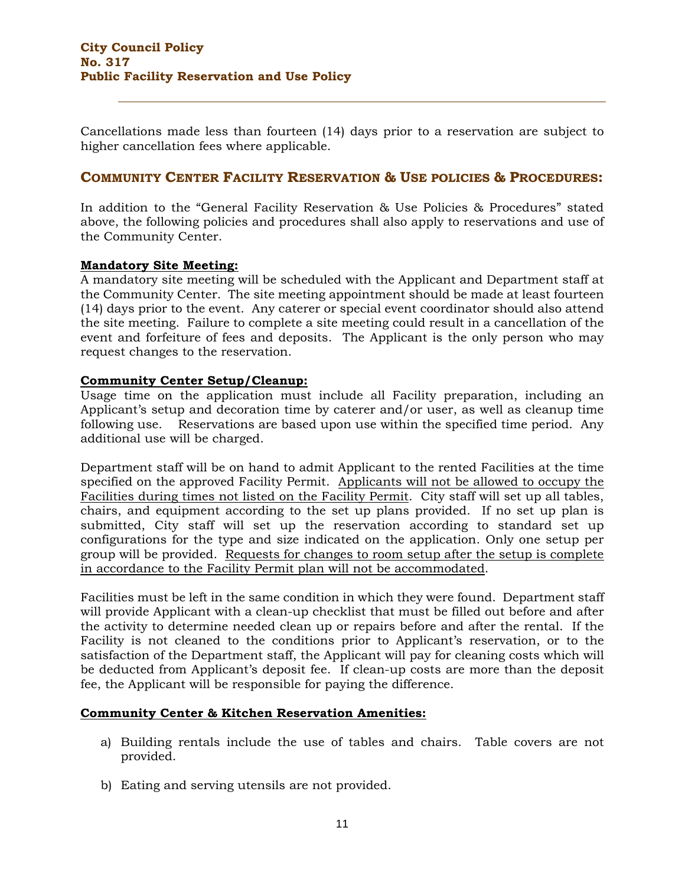Cancellations made less than fourteen (14) days prior to a reservation are subject to higher cancellation fees where applicable.

# **COMMUNITY CENTER FACILITY RESERVATION & USE POLICIES & PROCEDURES:**

In addition to the "General Facility Reservation & Use Policies & Procedures" stated above, the following policies and procedures shall also apply to reservations and use of the Community Center.

## **Mandatory Site Meeting:**

A mandatory site meeting will be scheduled with the Applicant and Department staff at the Community Center. The site meeting appointment should be made at least fourteen (14) days prior to the event. Any caterer or special event coordinator should also attend the site meeting. Failure to complete a site meeting could result in a cancellation of the event and forfeiture of fees and deposits. The Applicant is the only person who may request changes to the reservation.

## **Community Center Setup/Cleanup:**

Usage time on the application must include all Facility preparation, including an Applicant's setup and decoration time by caterer and/or user, as well as cleanup time following use. Reservations are based upon use within the specified time period. Any additional use will be charged.

Department staff will be on hand to admit Applicant to the rented Facilities at the time specified on the approved Facility Permit. Applicants will not be allowed to occupy the Facilities during times not listed on the Facility Permit. City staff will set up all tables, chairs, and equipment according to the set up plans provided. If no set up plan is submitted, City staff will set up the reservation according to standard set up configurations for the type and size indicated on the application. Only one setup per group will be provided. Requests for changes to room setup after the setup is complete in accordance to the Facility Permit plan will not be accommodated.

Facilities must be left in the same condition in which they were found. Department staff will provide Applicant with a clean-up checklist that must be filled out before and after the activity to determine needed clean up or repairs before and after the rental. If the Facility is not cleaned to the conditions prior to Applicant's reservation, or to the satisfaction of the Department staff, the Applicant will pay for cleaning costs which will be deducted from Applicant's deposit fee. If clean-up costs are more than the deposit fee, the Applicant will be responsible for paying the difference.

# **Community Center & Kitchen Reservation Amenities:**

- a) Building rentals include the use of tables and chairs. Table covers are not provided.
- b) Eating and serving utensils are not provided.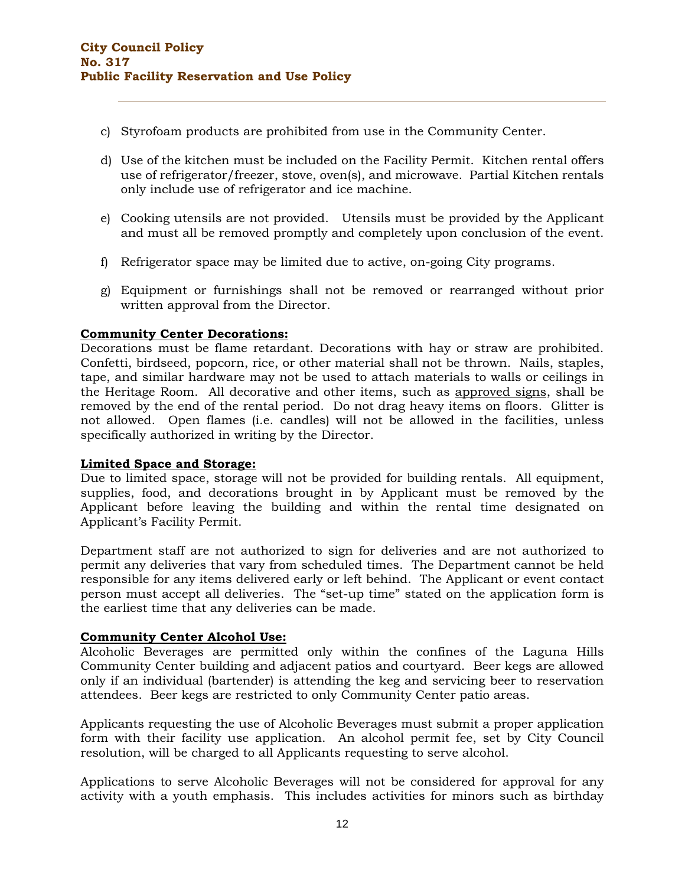- c) Styrofoam products are prohibited from use in the Community Center.
- d) Use of the kitchen must be included on the Facility Permit. Kitchen rental offers use of refrigerator/freezer, stove, oven(s), and microwave. Partial Kitchen rentals only include use of refrigerator and ice machine.
- e) Cooking utensils are not provided. Utensils must be provided by the Applicant and must all be removed promptly and completely upon conclusion of the event.
- f) Refrigerator space may be limited due to active, on-going City programs.
- g) Equipment or furnishings shall not be removed or rearranged without prior written approval from the Director.

## **Community Center Decorations:**

Decorations must be flame retardant. Decorations with hay or straw are prohibited. Confetti, birdseed, popcorn, rice, or other material shall not be thrown. Nails, staples, tape, and similar hardware may not be used to attach materials to walls or ceilings in the Heritage Room. All decorative and other items, such as approved signs, shall be removed by the end of the rental period. Do not drag heavy items on floors. Glitter is not allowed. Open flames (i.e. candles) will not be allowed in the facilities, unless specifically authorized in writing by the Director.

## **Limited Space and Storage:**

Due to limited space, storage will not be provided for building rentals. All equipment, supplies, food, and decorations brought in by Applicant must be removed by the Applicant before leaving the building and within the rental time designated on Applicant's Facility Permit.

Department staff are not authorized to sign for deliveries and are not authorized to permit any deliveries that vary from scheduled times. The Department cannot be held responsible for any items delivered early or left behind. The Applicant or event contact person must accept all deliveries. The "set-up time" stated on the application form is the earliest time that any deliveries can be made.

## **Community Center Alcohol Use:**

Alcoholic Beverages are permitted only within the confines of the Laguna Hills Community Center building and adjacent patios and courtyard. Beer kegs are allowed only if an individual (bartender) is attending the keg and servicing beer to reservation attendees. Beer kegs are restricted to only Community Center patio areas.

Applicants requesting the use of Alcoholic Beverages must submit a proper application form with their facility use application. An alcohol permit fee, set by City Council resolution, will be charged to all Applicants requesting to serve alcohol.

Applications to serve Alcoholic Beverages will not be considered for approval for any activity with a youth emphasis. This includes activities for minors such as birthday